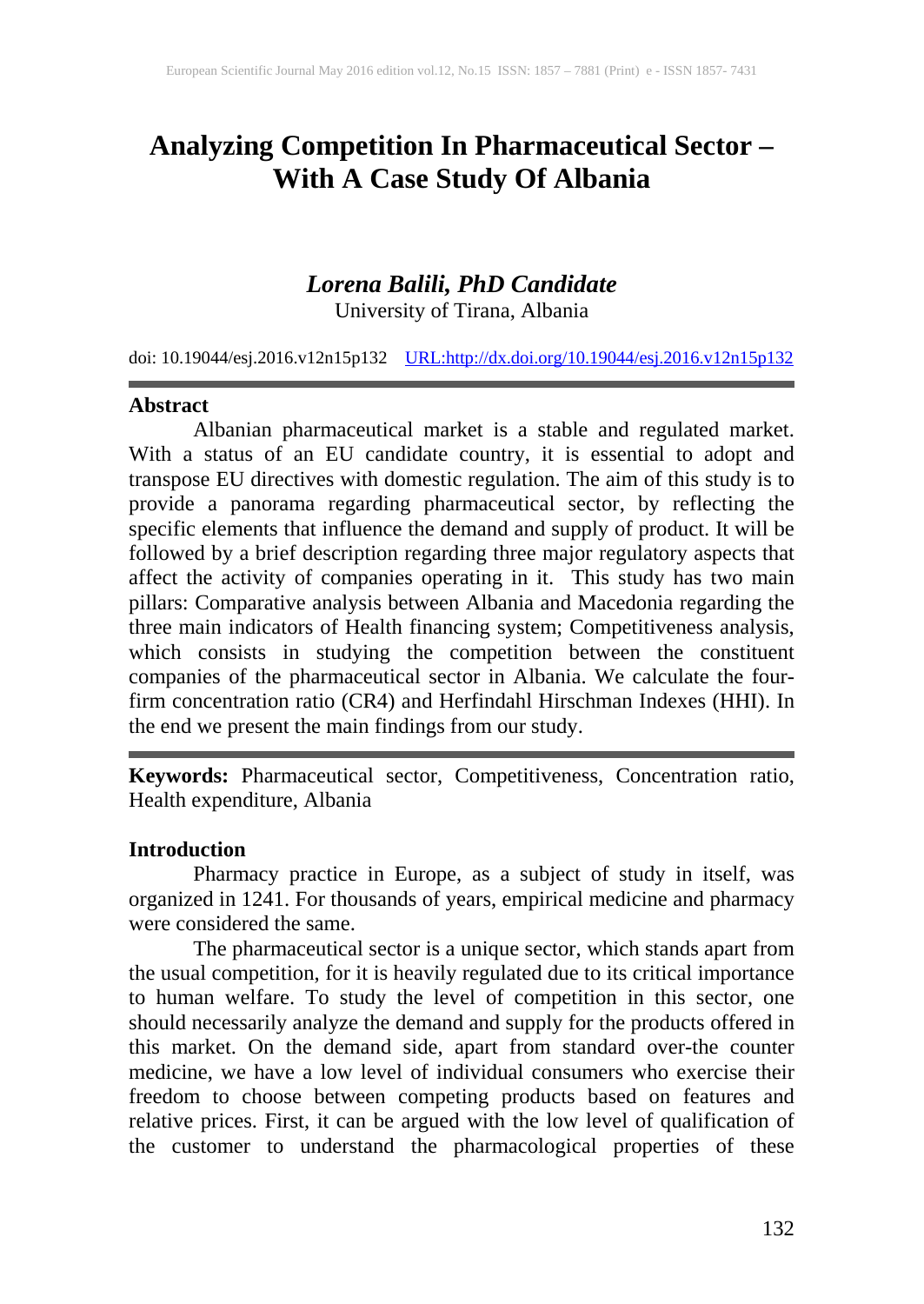# **Analyzing Competition In Pharmaceutical Sector – With A Case Study Of Albania**

# *Lorena Balili, PhD Candidate*

University of Tirana, Albania

doi: 10.19044/esj.2016.v12n15p132 [URL:http://dx.doi.org/10.19044/esj.2016.v12n15p132](http://dx.doi.org/10.19044/esj.2016.v12n15p132)

#### **Abstract**

Albanian pharmaceutical market is a stable and regulated market. With a status of an EU candidate country, it is essential to adopt and transpose EU directives with domestic regulation. The aim of this study is to provide a panorama regarding pharmaceutical sector, by reflecting the specific elements that influence the demand and supply of product. It will be followed by a brief description regarding three major regulatory aspects that affect the activity of companies operating in it. This study has two main pillars: Comparative analysis between Albania and Macedonia regarding the three main indicators of Health financing system; Competitiveness analysis, which consists in studying the competition between the constituent companies of the pharmaceutical sector in Albania. We calculate the fourfirm concentration ratio (CR4) and Herfindahl Hirschman Indexes (HHI). In the end we present the main findings from our study.

**Keywords:** Pharmaceutical sector, Competitiveness, Concentration ratio, Health expenditure, [Albania](http://www.emeraldinsight.com/keyword/India)

#### **Introduction**

Pharmacy practice in Europe, as a subject of study in itself, was organized in 1241. For thousands of years, empirical medicine and pharmacy were considered the same.

The pharmaceutical sector is a unique sector, which stands apart from the usual competition, for it is heavily regulated due to its critical importance to human welfare. To study the level of competition in this sector, one should necessarily analyze the demand and supply for the products offered in this market. On the demand side, apart from standard over-the counter medicine, we have a low level of individual consumers who exercise their freedom to choose between competing products based on features and relative prices. First, it can be argued with the low level of qualification of the customer to understand the pharmacological properties of these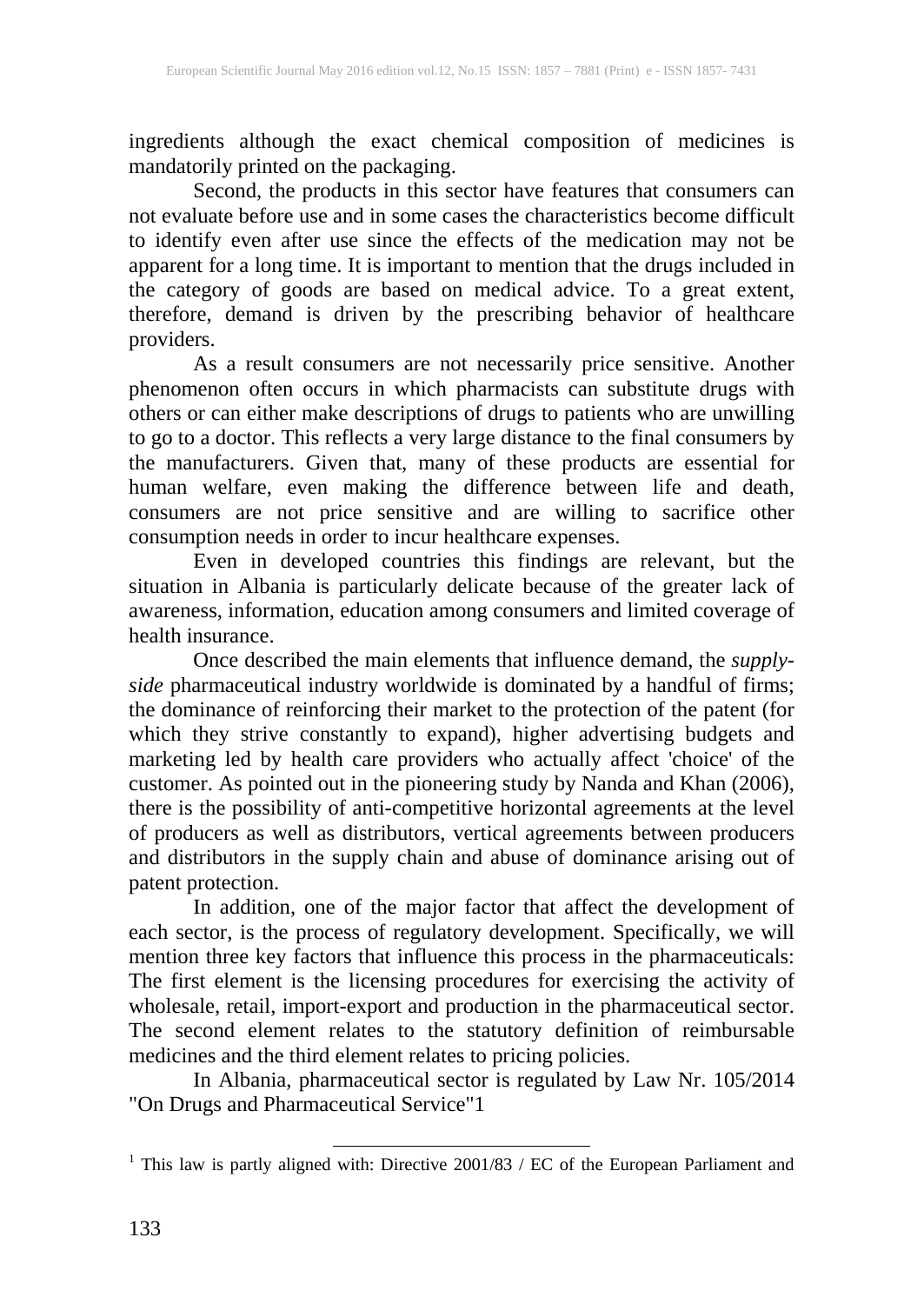ingredients although the exact chemical composition of medicines is mandatorily printed on the packaging.

Second, the products in this sector have features that consumers can not evaluate before use and in some cases the characteristics become difficult to identify even after use since the effects of the medication may not be apparent for a long time. It is important to mention that the drugs included in the category of goods are based on medical advice. To a great extent, therefore, demand is driven by the prescribing behavior of healthcare providers.

As a result consumers are not necessarily price sensitive. Another phenomenon often occurs in which pharmacists can substitute drugs with others or can either make descriptions of drugs to patients who are unwilling to go to a doctor. This reflects a very large distance to the final consumers by the manufacturers. Given that, many of these products are essential for human welfare, even making the difference between life and death, consumers are not price sensitive and are willing to sacrifice other consumption needs in order to incur healthcare expenses.

Even in developed countries this findings are relevant, but the situation in Albania is particularly delicate because of the greater lack of awareness, information, education among consumers and limited coverage of health insurance.

Once described the main elements that influence demand, the *supplyside* pharmaceutical industry worldwide is dominated by a handful of firms; the dominance of reinforcing their market to the protection of the patent (for which they strive constantly to expand), higher advertising budgets and marketing led by health care providers who actually affect 'choice' of the customer. As pointed out in the pioneering study by Nanda and Khan (2006), there is the possibility of anti-competitive horizontal agreements at the level of producers as well as distributors, vertical agreements between producers and distributors in the supply chain and abuse of dominance arising out of patent protection.

In addition, one of the major factor that affect the development of each sector, is the process of regulatory development. Specifically, we will mention three key factors that influence this process in the pharmaceuticals: The first element is the licensing procedures for exercising the activity of wholesale, retail, import-export and production in the pharmaceutical sector. The second element relates to the statutory definition of reimbursable medicines and the third element relates to pricing policies.

In Albania, pharmaceutical sector is regulated by Law Nr. 105/2014 "On Drugs and Pharmaceutical Service"1

<sup>&</sup>lt;sup>1</sup> This law is partly aligned with: Directive  $2001/83$  / EC of the European Parliament and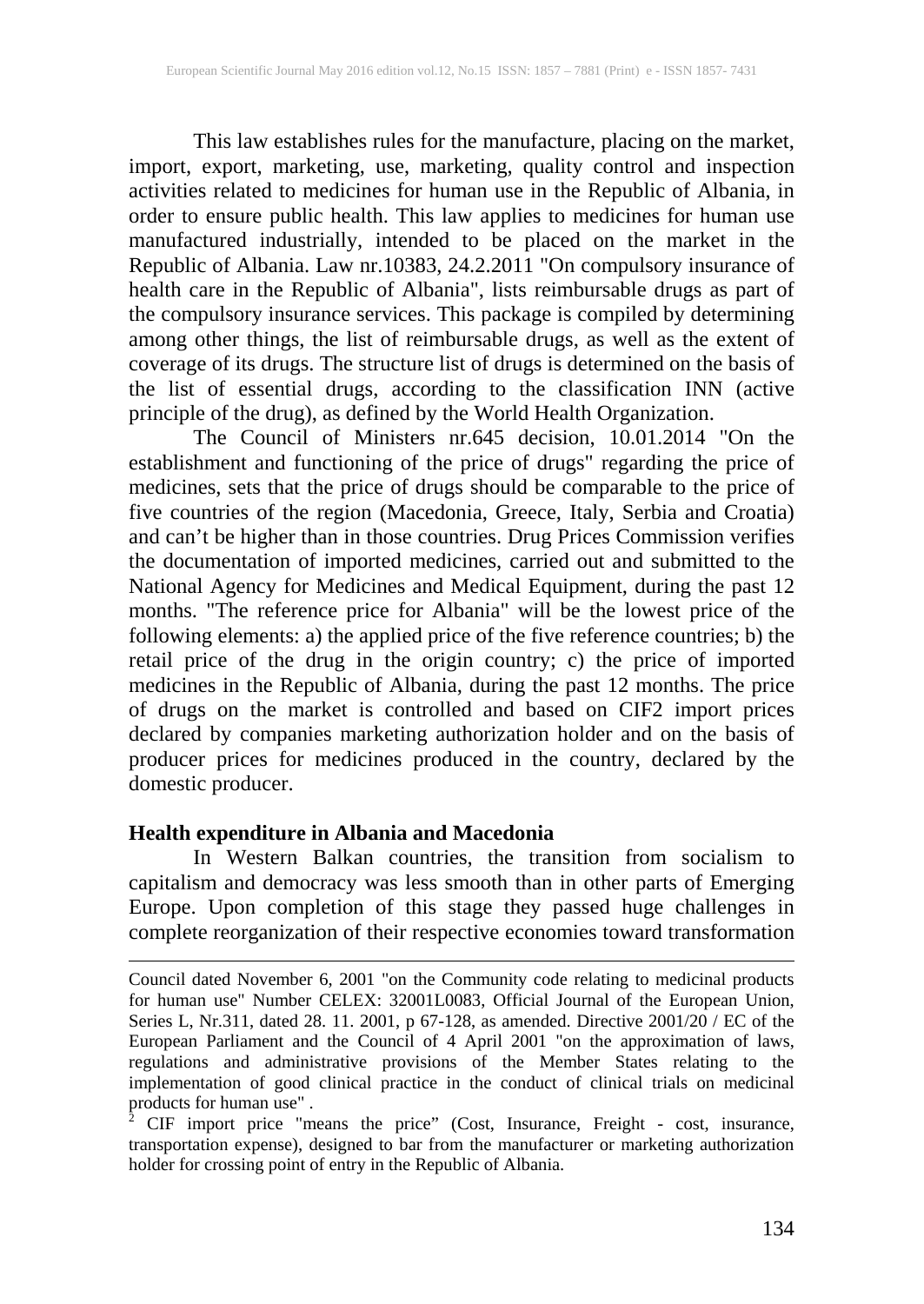This law establishes rules for the manufacture, placing on the market, import, export, marketing, use, marketing, quality control and inspection activities related to medicines for human use in the Republic of Albania, in order to ensure public health. This law applies to medicines for human use manufactured industrially, intended to be placed on the market in the Republic of Albania. Law nr.10383, 24.2.2011 "On compulsory insurance of health care in the Republic of Albania", lists reimbursable drugs as part of the compulsory insurance services. This package is compiled by determining among other things, the list of reimbursable drugs, as well as the extent of coverage of its drugs. The structure list of drugs is determined on the basis of the list of essential drugs, according to the classification INN (active principle of the drug), as defined by the World Health Organization.

The Council of Ministers nr.645 decision, 10.01.2014 "On the establishment and functioning of the price of drugs" regarding the price of medicines, sets that the price of drugs should be comparable to the price of five countries of the region (Macedonia, Greece, Italy, Serbia and Croatia) and can't be higher than in those countries. Drug Prices Commission verifies the documentation of imported medicines, carried out and submitted to the National Agency for Medicines and Medical Equipment, during the past 12 months. "The reference price for Albania" will be the lowest price of the following elements: a) the applied price of the five reference countries; b) the retail price of the drug in the origin country; c) the price of imported medicines in the Republic of Albania, during the past 12 months. The price of drugs on the market is controlled and based on CIF2 import prices declared by companies marketing authorization holder and on the basis of producer prices for medicines produced in the country, declared by the domestic producer.

#### **Health expenditure in Albania and Macedonia**

In Western Balkan countries, the transition from socialism to capitalism and democracy was less smooth than in other parts of Emerging Europe. Upon completion of this stage they passed huge challenges in complete reorganization of their respective economies toward transformation

 $\overline{a}$ 

Council dated November 6, 2001 "on the Community code relating to medicinal products for human use" Number CELEX: 32001L0083, Official Journal of the European Union, Series L, Nr.311, dated 28. 11. 2001, p 67-128, as amended. Directive 2001/20 / EC of the European Parliament and the Council of 4 April 2001 "on the approximation of laws, regulations and administrative provisions of the Member States relating to the implementation of good clinical practice in the conduct of clinical trials on medicinal products for human use". products for human use" .<br><sup>2</sup> CIF import price "means the price" (Cost, Insurance, Freight - cost, insurance,

transportation expense), designed to bar from the manufacturer or marketing authorization holder for crossing point of entry in the Republic of Albania.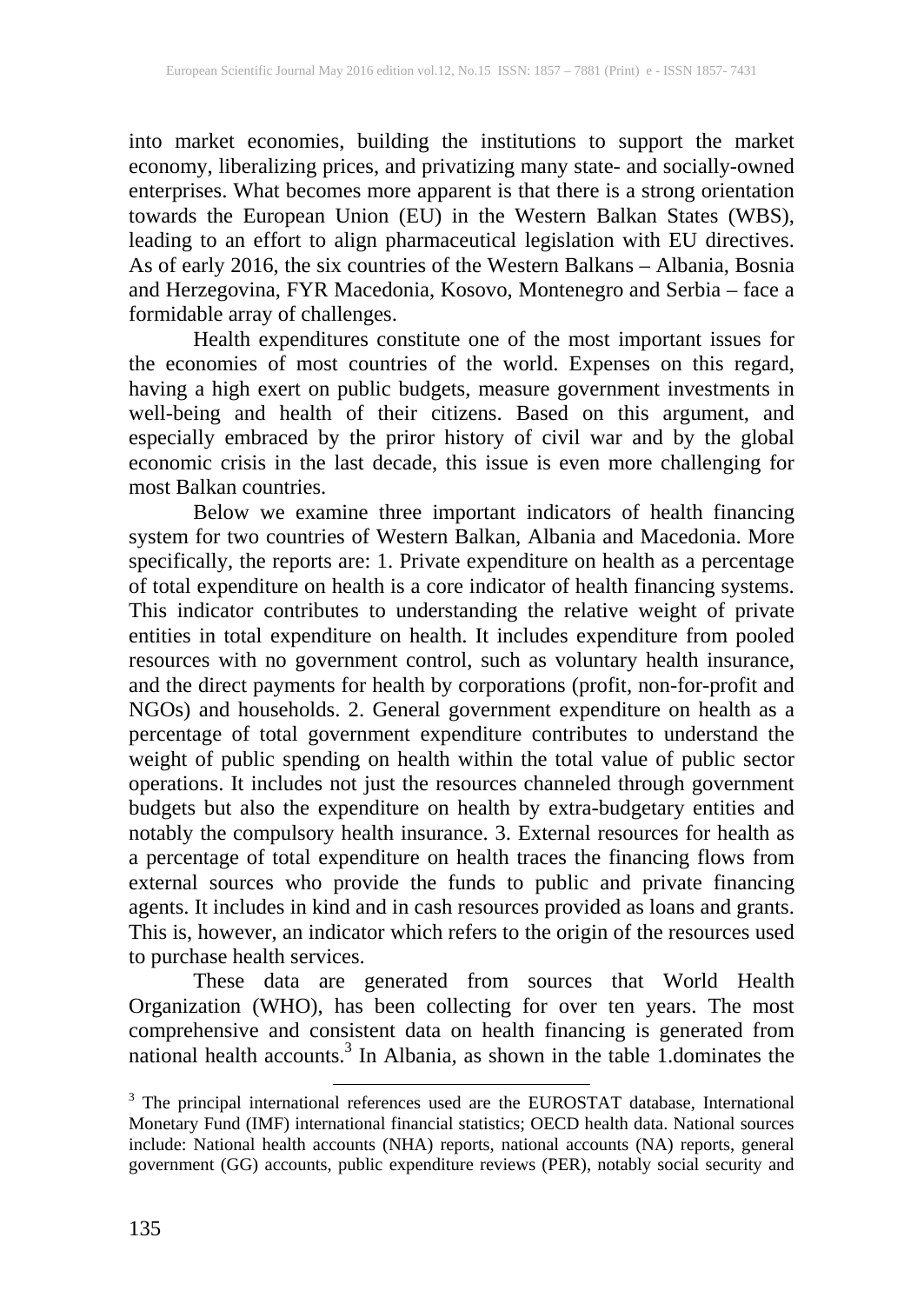into market economies, building the institutions to support the market economy, liberalizing prices, and privatizing many state- and socially-owned enterprises. What becomes more apparent is that there is a strong orientation towards the European Union (EU) in the Western Balkan States (WBS), leading to an effort to align pharmaceutical legislation with EU directives. As of early 2016, the six countries of the Western Balkans – Albania, Bosnia and Herzegovina, FYR Macedonia, Kosovo, Montenegro and Serbia – face a formidable array of challenges.

Health expenditures constitute one of the most important issues for the economies of most countries of the world. Expenses on this regard, having a high exert on public budgets, measure government investments in well-being and health of their citizens. Based on this argument, and especially embraced by the priror history of civil war and by the global economic crisis in the last decade, this issue is even more challenging for most Balkan countries.

Below we examine three important indicators of health financing system for two countries of Western Balkan, Albania and Macedonia. More specifically, the reports are: 1. Private expenditure on health as a percentage of total expenditure on health is a core indicator of health financing systems. This indicator contributes to understanding the relative weight of private entities in total expenditure on health. It includes expenditure from pooled resources with no government control, such as voluntary health insurance, and the direct payments for health by corporations (profit, non-for-profit and NGOs) and households. 2. General government expenditure on health as a percentage of total government expenditure contributes to understand the weight of public spending on health within the total value of public sector operations. It includes not just the resources channeled through government budgets but also the expenditure on health by extra-budgetary entities and notably the compulsory health insurance. 3. External resources for health as a percentage of total expenditure on health traces the financing flows from external sources who provide the funds to public and private financing agents. It includes in kind and in cash resources provided as loans and grants. This is, however, an indicator which refers to the origin of the resources used to purchase health services.

These data are generated from sources that World Health Organization (WHO), has been collecting for over ten years. The most comprehensive and consistent data on health financing is generated from national health accounts. <sup>3</sup> In Albania, as shown in the table 1.dominates the

<sup>&</sup>lt;sup>3</sup> The principal international references used are the EUROSTAT database, International Monetary Fund (IMF) international financial statistics; OECD health data. National sources include: National health accounts (NHA) reports, national accounts (NA) reports, general government (GG) accounts, public expenditure reviews (PER), notably social security and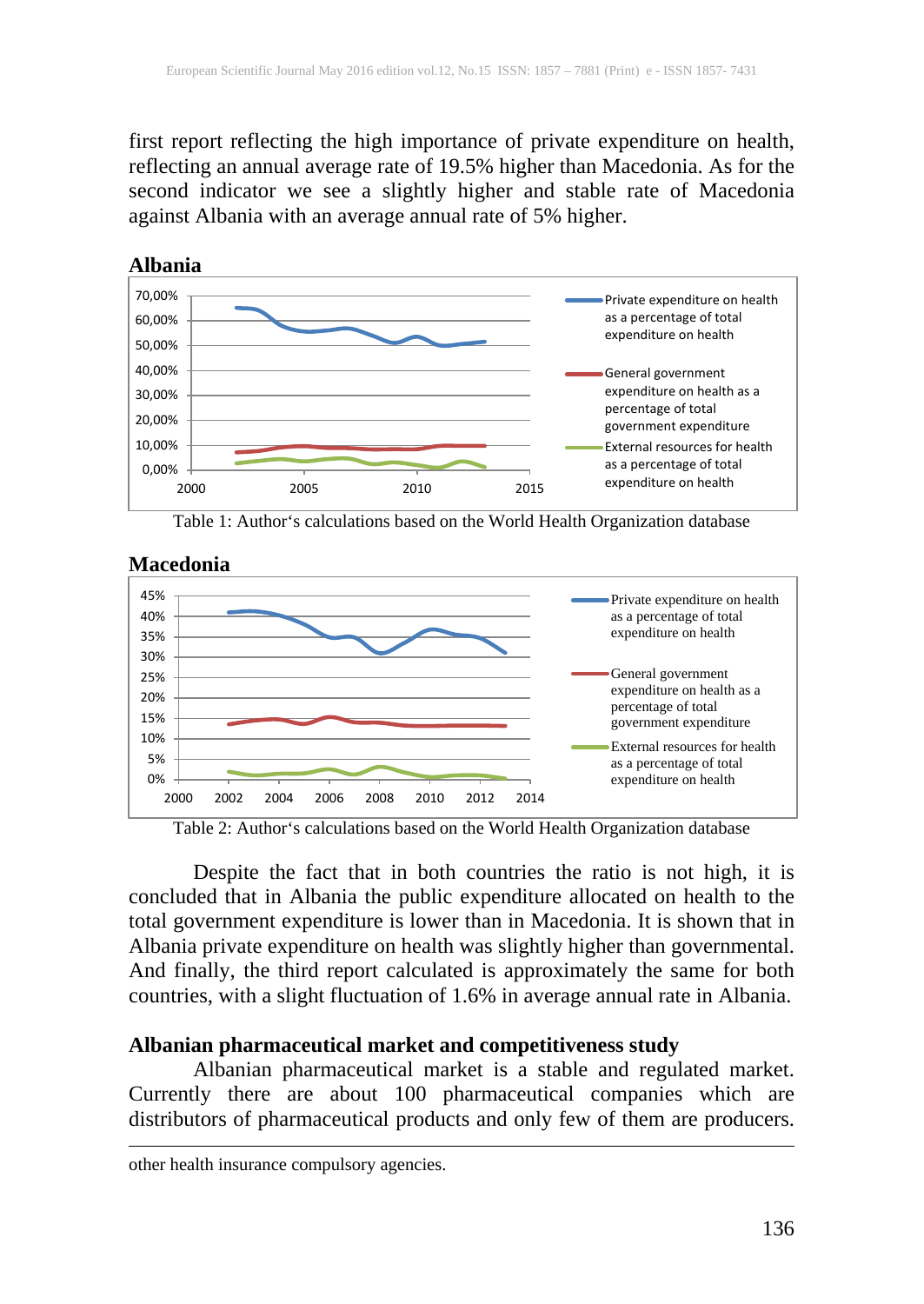first report reflecting the high importance of private expenditure on health, reflecting an annual average rate of 19.5% higher than Macedonia. As for the second indicator we see a slightly higher and stable rate of Macedonia against Albania with an average annual rate of 5% higher.



Table 1: Author's calculations based on the World Health Organization database



#### **Macedonia**

Table 2: Author's calculations based on the World Health Organization database

Despite the fact that in both countries the ratio is not high, it is concluded that in Albania the public expenditure allocated on health to the total government expenditure is lower than in Macedonia. It is shown that in Albania private expenditure on health was slightly higher than governmental. And finally, the third report calculated is approximately the same for both countries, with a slight fluctuation of 1.6% in average annual rate in Albania.

## **Albanian pharmaceutical market and competitiveness study**

 $\overline{a}$ 

Albanian pharmaceutical market is a stable and regulated market. Currently there are about 100 pharmaceutical companies which are distributors of pharmaceutical products and only few of them are producers.

other health insurance compulsory agencies.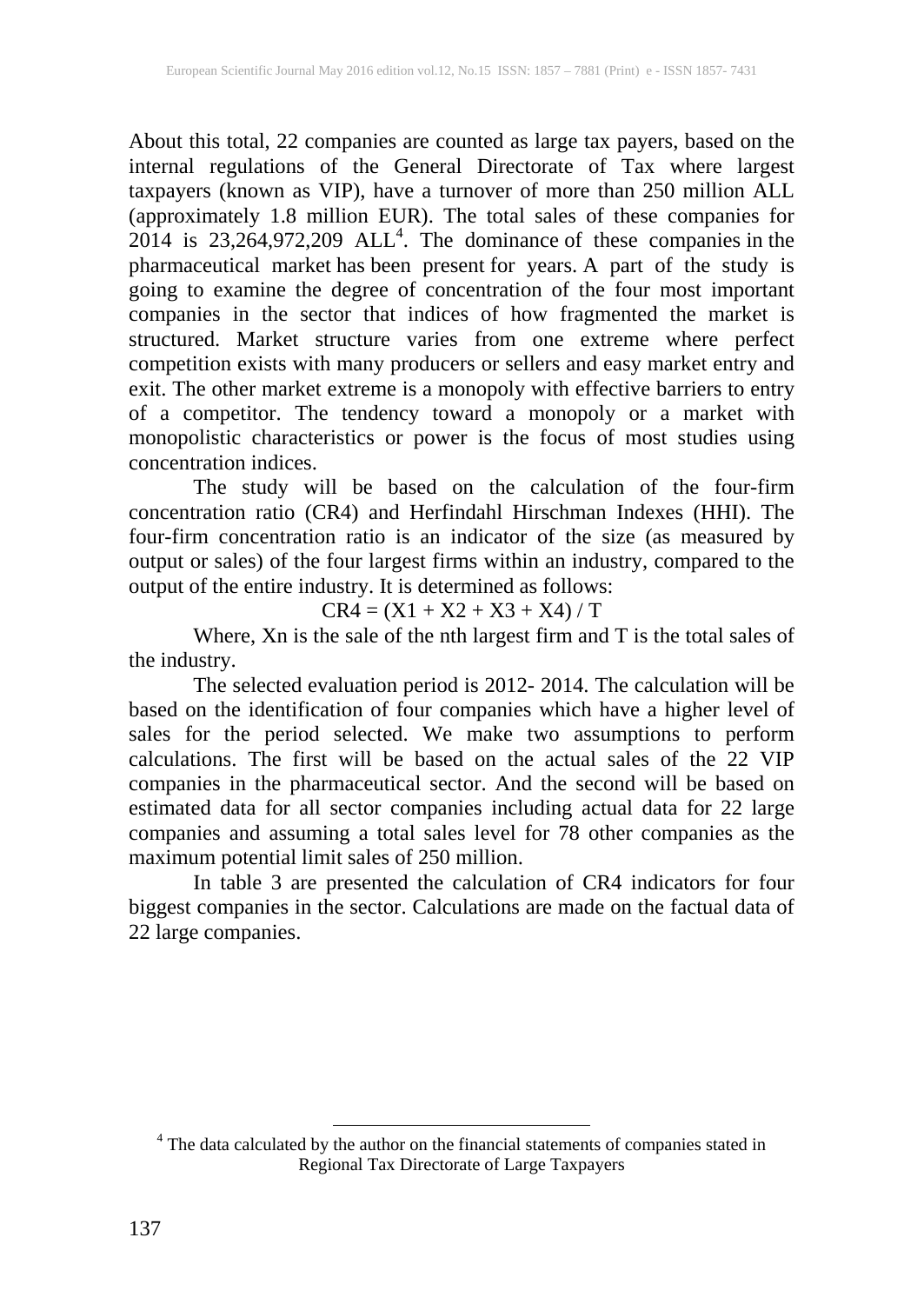About this total, 22 companies are counted as large tax payers, based on the internal regulations of the General Directorate of Tax where largest taxpayers (known as VIP), have a turnover of more than 250 million ALL (approximately 1.8 million EUR). The total sales of these companies for 2014 is  $23,264,972,209$  ALL<sup>4</sup>. The dominance of these companies in the pharmaceutical market has been present for years. A part of the study is going to examine the degree of concentration of the four most important companies in the sector that indices of how fragmented the market is structured. Market structure varies from one extreme where perfect competition exists with many producers or sellers and easy market entry and exit. The other market extreme is a monopoly with effective barriers to entry of a competitor. The tendency toward a monopoly or a market with monopolistic characteristics or power is the focus of most studies using concentration indices.

The study will be based on the calculation of the four-firm concentration ratio (CR4) and Herfindahl Hirschman Indexes (HHI). The four-firm concentration ratio is an indicator of the size (as measured by output or sales) of the four largest firms within an industry, compared to the output of the entire industry. It is determined as follows:

 $CR4 = (X1 + X2 + X3 + X4) / T$ 

Where, Xn is the sale of the nth largest firm and T is the total sales of the industry.

The selected evaluation period is 2012- 2014. The calculation will be based on the identification of four companies which have a higher level of sales for the period selected. We make two assumptions to perform calculations. The first will be based on the actual sales of the 22 VIP companies in the pharmaceutical sector. And the second will be based on estimated data for all sector companies including actual data for 22 large companies and assuming a total sales level for 78 other companies as the maximum potential limit sales of 250 million.

In table 3 are presented the calculation of CR4 indicators for four biggest companies in the sector. Calculations are made on the factual data of 22 large companies.

<sup>4</sup> The data calculated by the author on the financial statements of companies stated in Regional Tax Directorate of Large Taxpayers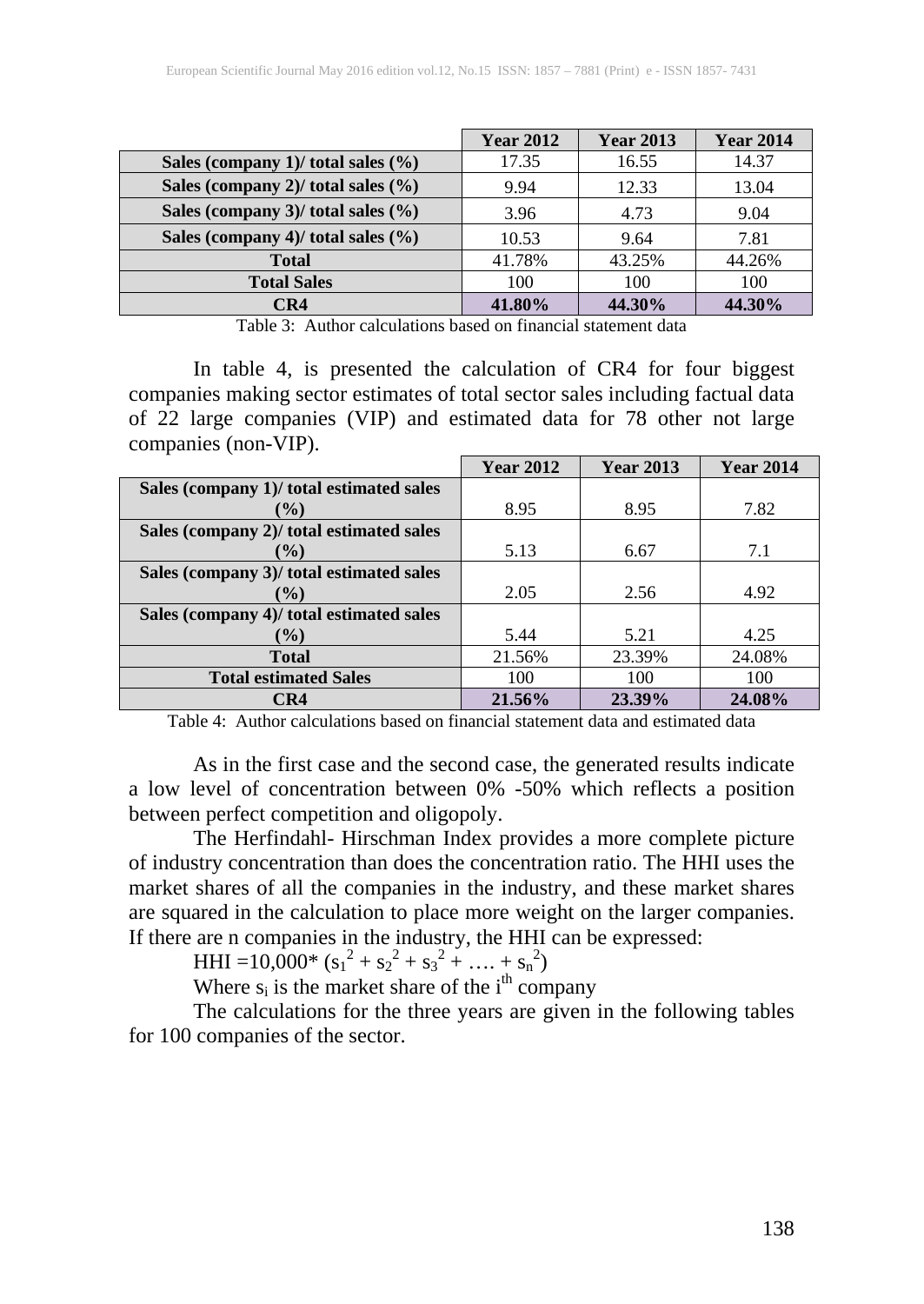|                                        | <b>Year 2012</b> | <b>Year 2013</b> | <b>Year 2014</b> |
|----------------------------------------|------------------|------------------|------------------|
| Sales (company 1)/ total sales $(\% )$ | 17.35            | 16.55            | 14.37            |
| Sales (company 2)/ total sales $(\% )$ | 9.94             | 12.33            | 13.04            |
| Sales (company 3)/ total sales $(\% )$ | 3.96             | 4.73             | 9.04             |
| Sales (company 4)/ total sales $(\% )$ | 10.53            | 9.64             | 7.81             |
| <b>Total</b>                           | 41.78%           | 43.25%           | 44.26%           |
| <b>Total Sales</b>                     | 100              | 100              | 100              |
| CR4                                    | 41.80%           | 44.30%           | 44.30%           |

Table 3: Author calculations based on financial statement data

In table 4, is presented the calculation of CR4 for four biggest companies making sector estimates of total sector sales including factual data of 22 large companies (VIP) and estimated data for 78 other not large companies (non-VIP).

|                                          | <b>Year 2012</b> | <b>Year 2013</b> | <b>Year 2014</b> |
|------------------------------------------|------------------|------------------|------------------|
| Sales (company 1)/ total estimated sales |                  |                  |                  |
| $\frac{9}{0}$                            | 8.95             | 8.95             | 7.82             |
| Sales (company 2)/ total estimated sales |                  |                  |                  |
| $\binom{0}{0}$                           | 5.13             | 6.67             | 7.1              |
| Sales (company 3)/ total estimated sales |                  |                  |                  |
| $\mathcal{O}(0)$                         | 2.05             | 2.56             | 4.92             |
| Sales (company 4)/ total estimated sales |                  |                  |                  |
| $\binom{0}{0}$                           | 5.44             | 5.21             | 4.25             |
| <b>Total</b>                             | 21.56%           | 23.39%           | 24.08%           |
| <b>Total estimated Sales</b>             | 100              | 100              | 100              |
| CR4                                      | 21.56%           | 23.39%           | 24.08%           |

Table 4: Author calculations based on financial statement data and estimated data

As in the first case and the second case, the generated results indicate a low level of concentration between 0% -50% which reflects a position between perfect competition and oligopoly.

The Herfindahl- Hirschman Index provides a more complete picture of industry concentration than does the concentration ratio. The HHI uses the market shares of all the companies in the industry, and these market shares are squared in the calculation to place more weight on the larger companies. If there are n companies in the industry, the HHI can be expressed:

HHI =  $10,000^*$  (s<sub>1</sub><sup>2</sup> + s<sub>2</sub><sup>2</sup> + s<sub>3</sub><sup>2</sup> + ... + s<sub>n</sub><sup>2</sup>)

Where  $s_i$  is the market share of the  $i^{\text{th}}$  company

The calculations for the three years are given in the following tables for 100 companies of the sector.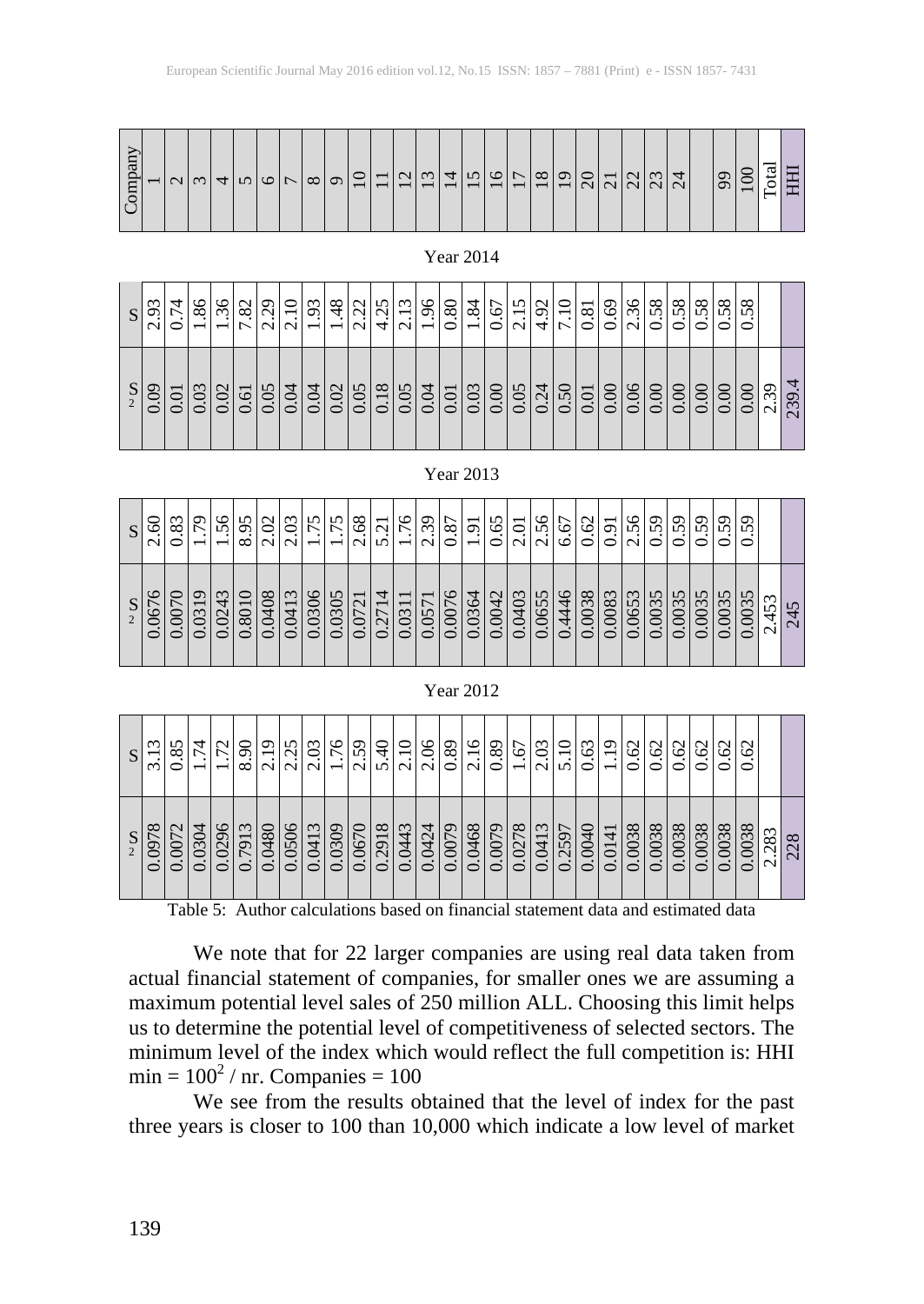|                    | $\omega$<br>O.<br>$\sim$ | 4<br>$\overline{ }$<br>$\sim$ $\sim$<br>⊂ | ७<br>$\infty$<br>$\overline{\phantom{0}}$ | $1$ $-1$ $-1$ $-1$ $-1$        | $\frac{15}{28}$                                                 |                     |                          |         | $\frac{3}{3}$<br>$-1-1$ $\sim$ $+1$ |         |                                               | $ \vec{\alpha} $ |  |  |  |  |  |                     |                   | $\infty$<br>m<br>⊂ |                     |                    |
|--------------------|--------------------------|-------------------------------------------|-------------------------------------------|--------------------------------|-----------------------------------------------------------------|---------------------|--------------------------|---------|-------------------------------------|---------|-----------------------------------------------|------------------|--|--|--|--|--|---------------------|-------------------|--------------------|---------------------|--------------------|
| S<br>$\mathcal{D}$ | 60                       | $\overline{\phantom{0}}$                  | $\sim$<br>ା≏ା<br>$\circ$                  | $\sim$<br>$Q_{\parallel}$<br>○ | $\overline{\phantom{0}}$<br>$\circ$<br>$\overline{\phantom{0}}$ | $\overline{5}$<br>○ | $\frac{5}{6}$<br>$\circ$ | $\circ$ | $\frac{3}{2}$<br>$\bigcirc$         | $\circ$ | $\frac{ 81 }{50}$<br>$\overline{\phantom{0}}$ |                  |  |  |  |  |  | $\frac{0.00}{0.00}$ | $rac{0.00}{0.00}$ | 60<br>○            | $\circ$<br>$\omega$ | 4.<br>39<br>$\sim$ |

Year 2014

| S | $\tilde{\mathcal{Q}}$<br>$\sim$ | .83<br>⊂ | $\overline{5}$<br>$\overline{\phantom{0}}$ | 56<br>$\overline{\phantom{0}}$            | n<br>$\overline{O}$<br>$\infty$ | $\mathbf{\Omega}$      | $\omega$<br>$\frac{\tilde{a}}{\tilde{a}}$<br>್⊦ | n<br>$\overline{r}$<br>$\bullet$<br>$\overline{\phantom{0}}$ | .75<br>$\overline{\phantom{0}}$                   |                                                   | $\frac{2.68}{5.21}$   |                                                               | $\frac{3}{5.71}$ $\frac{1}{1.76}$ $\frac{6}{1.39}$ |                                  | $\overline{.6}$<br>$\overline{\phantom{0}}$ | l n<br><u>୍ଚାର୍</u>                        |        |                   | $\frac{1556}{1556}$ |        | $\overline{5}$<br>⊂ | ७<br>$\overline{v}$<br>٠<br>$\sim$ | $\frac{59}{5}$<br>$\cdot$ .<br>⊂ | $\bullet$<br>⊂                                      | 59<br>⊂                                 | ○<br>$\Omega$<br>○              | σ<br>$\sqrt{2}$<br>⊂                |                      |                  |
|---|---------------------------------|----------|--------------------------------------------|-------------------------------------------|---------------------------------|------------------------|-------------------------------------------------|--------------------------------------------------------------|---------------------------------------------------|---------------------------------------------------|-----------------------|---------------------------------------------------------------|----------------------------------------------------|----------------------------------|---------------------------------------------|--------------------------------------------|--------|-------------------|---------------------|--------|---------------------|------------------------------------|----------------------------------|-----------------------------------------------------|-----------------------------------------|---------------------------------|-------------------------------------|----------------------|------------------|
|   | $\circ$<br>067                  | 0070     | 0319                                       | 3<br>$\overline{4}$<br>2<br>$\dot{\circ}$ | ⊂<br>801                        | 0408<br>$\ddot{\circ}$ | $\omega$<br>$\overline{4}$<br>0                 | 0306<br>$\overline{O}$                                       | $\mathsf{r}$<br>$\overline{30}$<br>$\ddot{\circ}$ | $\overline{\phantom{0}}$<br>072<br>$\ddot{\circ}$ | $\overline{4}$<br>271 | $\overline{\phantom{0}}$<br>$\overline{31}$<br>$\ddot{\circ}$ | $\overline{\phantom{0}}$<br>57<br>$\ddot{\circ}$   | $\circ$<br>007<br>$\ddot{\circ}$ | 4<br>036<br>$\dot{\circ}$                   | $\mathbf{\Omega}$<br>604<br>$\ddot{\circ}$ | 0.0403 | $\Omega$<br>0.065 | 0.4446              | 0.0038 | 0.0083              | $\omega$<br>$\sqrt{2}$<br>8<br>6   | $\overline{35}$<br>g             | $\Omega$<br>$\infty$<br>$\otimes$<br>$\ddot{\circ}$ | $\sim$<br>$\sim$<br>Ê<br>$\ddot{\circ}$ | n<br>$\omega$<br>$\otimes$<br>ö | $\sqrt{ }$<br>003<br>$\overline{C}$ | S<br>$\sqrt{2}$<br>4 | v<br>4<br>$\sim$ |

Year 2013

| ear 2012 |
|----------|
|          |

|                | $\epsilon$<br>$\overline{\phantom{0}}$<br>$\infty$ | $\frac{17}{1.72}$ | $\rightarrow$ | 8.90 |  |  |  |  |  |        |                                      |  | $\frac{1.19}{0.62}$                | $\frac{1}{0.62}$ | $\widetilde{\mathcal{O}}$<br>⊂ | Ö<br>ö          | $\sim$ |                      |          |
|----------------|----------------------------------------------------|-------------------|---------------|------|--|--|--|--|--|--------|--------------------------------------|--|------------------------------------|------------------|--------------------------------|-----------------|--------|----------------------|----------|
| $\overline{2}$ | $rac{1}{0978}$                                     | .0072<br>0        |               |      |  |  |  |  |  | 0.0079 | 0.0278<br>0.0413<br>0.2597<br>0.0040 |  | $\frac{0.0141}{0.0038}$<br>$\circ$ | 0.0038           | ○                              | 0038<br>$\circ$ | 0.0038 | S<br>$\overline{28}$ | $\infty$ |

Table 5: Author calculations based on financial statement data and estimated data

We note that for 22 larger companies are using real data taken from actual financial statement of companies, for smaller ones we are assuming a maximum potential level sales of 250 million ALL. Choosing this limit helps us to determine the potential level of competitiveness of selected sectors. The minimum level of the index which would reflect the full competition is: HHI  $min = 100<sup>2</sup>$  / nr. Companies = 100

We see from the results obtained that the level of index for the past three years is closer to 100 than 10,000 which indicate a low level of market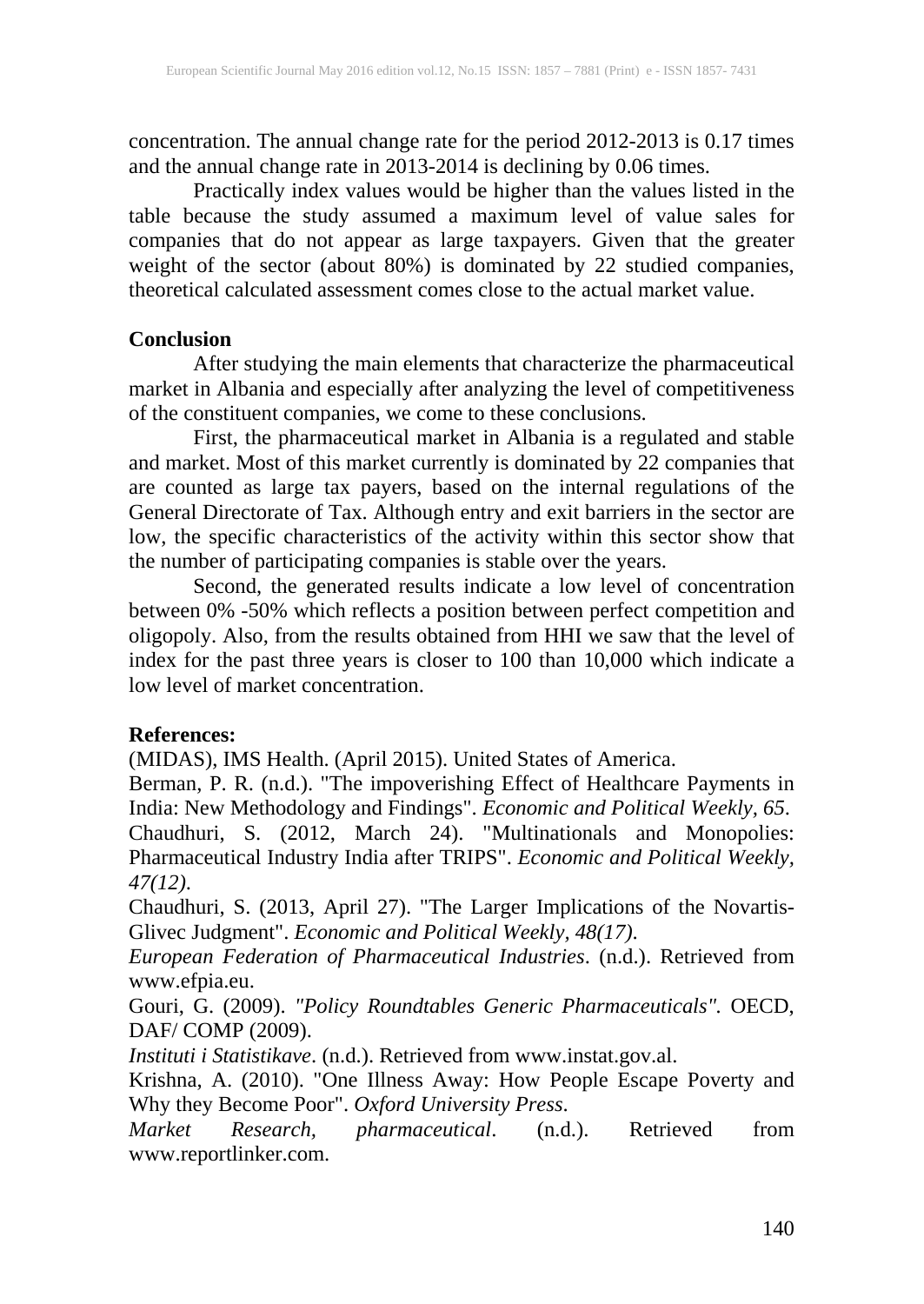concentration. The annual change rate for the period 2012-2013 is 0.17 times and the annual change rate in 2013-2014 is declining by 0.06 times.

Practically index values would be higher than the values listed in the table because the study assumed a maximum level of value sales for companies that do not appear as large taxpayers. Given that the greater weight of the sector (about 80%) is dominated by 22 studied companies, theoretical calculated assessment comes close to the actual market value.

#### **Conclusion**

After studying the main elements that characterize the pharmaceutical market in Albania and especially after analyzing the level of competitiveness of the constituent companies, we come to these conclusions.

First, the pharmaceutical market in Albania is a regulated and stable and market. Most of this market currently is dominated by 22 companies that are counted as large tax payers, based on the internal regulations of the General Directorate of Tax. Although entry and exit barriers in the sector are low, the specific characteristics of the activity within this sector show that the number of participating companies is stable over the years.

Second, the generated results indicate a low level of concentration between 0% -50% which reflects a position between perfect competition and oligopoly. Also, from the results obtained from HHI we saw that the level of index for the past three years is closer to 100 than 10,000 which indicate a low level of market concentration.

## **References:**

(MIDAS), IMS Health. (April 2015). United States of America.

Berman, P. R. (n.d.). "The impoverishing Effect of Healthcare Payments in India: New Methodology and Findings". *Economic and Political Weekly, 65*. Chaudhuri, S. (2012, March 24). "Multinationals and Monopolies: Pharmaceutical Industry India after TRIPS". *Economic and Political Weekly, 47(12)*.

Chaudhuri, S. (2013, April 27). "The Larger Implications of the Novartis-Glivec Judgment". *Economic and Political Weekly, 48(17)*.

*European Federation of Pharmaceutical Industries*. (n.d.). Retrieved from www.efpia.eu.

Gouri, G. (2009). *"Policy Roundtables Generic Pharmaceuticals".* OECD, DAF/ COMP (2009).

*Instituti i Statistikave*. (n.d.). Retrieved from www.instat.gov.al.

Krishna, A. (2010). "One Illness Away: How People Escape Poverty and Why they Become Poor". *Oxford University Press*.

*Market Research, pharmaceutical*. (n.d.). Retrieved from www.reportlinker.com.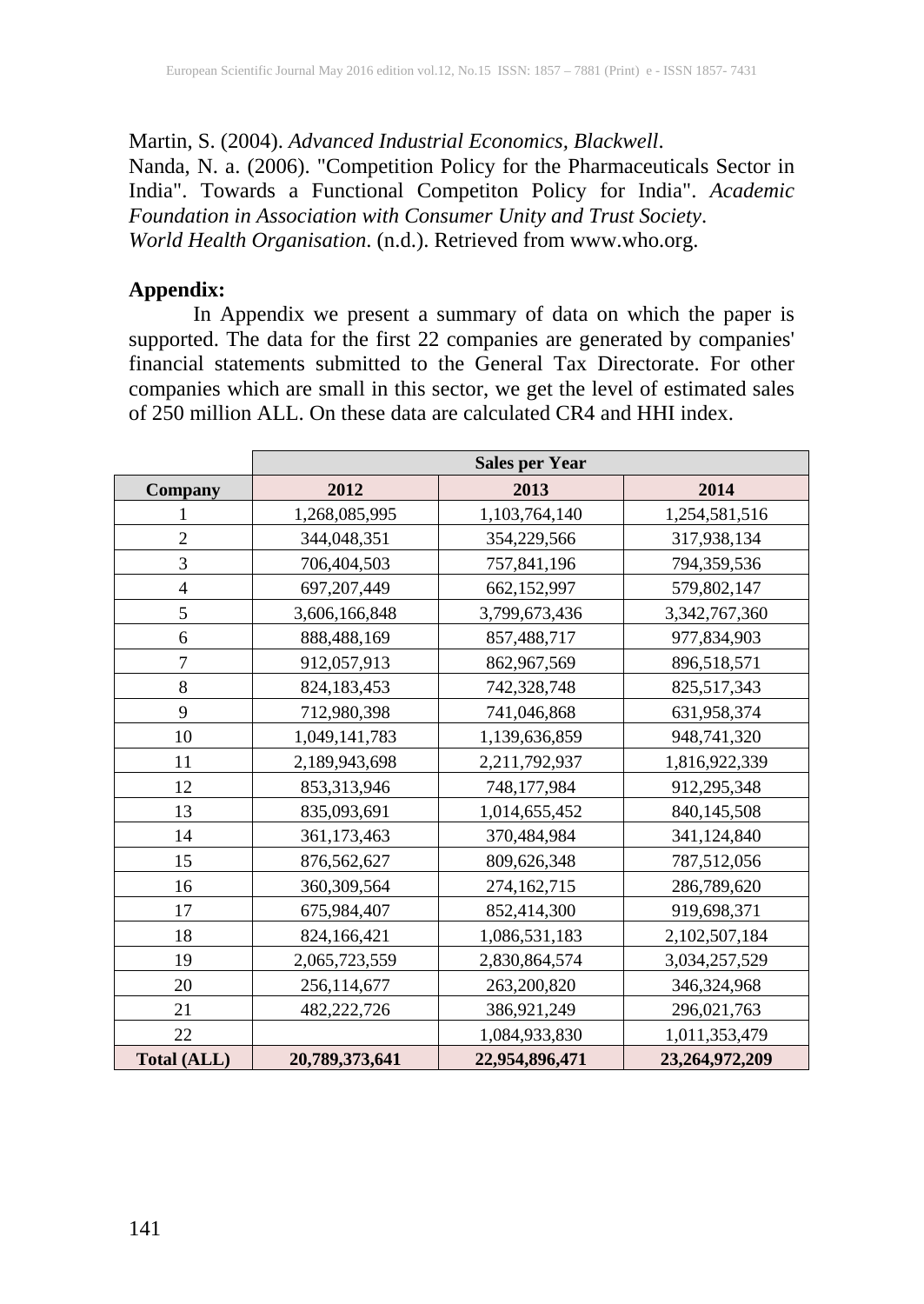Martin, S. (2004). *Advanced Industrial Economics, Blackwell*.

Nanda, N. a. (2006). "Competition Policy for the Pharmaceuticals Sector in India". Towards a Functional Competiton Policy for India". *Academic Foundation in Association with Consumer Unity and Trust Society*. *World Health Organisation*. (n.d.). Retrieved from www.who.org.

#### **Appendix:**

In Appendix we present a summary of data on which the paper is supported. The data for the first 22 companies are generated by companies' financial statements submitted to the General Tax Directorate. For other companies which are small in this sector, we get the level of estimated sales of 250 million ALL. On these data are calculated CR4 and HHI index.

|                    | <b>Sales per Year</b> |                |                |  |  |  |  |  |  |  |  |  |
|--------------------|-----------------------|----------------|----------------|--|--|--|--|--|--|--|--|--|
| Company            | 2012                  | 2013           | 2014           |  |  |  |  |  |  |  |  |  |
| 1                  | 1,268,085,995         | 1,103,764,140  | 1,254,581,516  |  |  |  |  |  |  |  |  |  |
| $\overline{2}$     | 344,048,351           | 354,229,566    | 317,938,134    |  |  |  |  |  |  |  |  |  |
| 3                  | 706,404,503           | 757,841,196    | 794,359,536    |  |  |  |  |  |  |  |  |  |
| $\overline{4}$     | 697,207,449           | 662,152,997    | 579,802,147    |  |  |  |  |  |  |  |  |  |
| 5                  | 3,606,166,848         | 3,799,673,436  | 3,342,767,360  |  |  |  |  |  |  |  |  |  |
| 6                  | 888,488,169           | 857,488,717    | 977,834,903    |  |  |  |  |  |  |  |  |  |
| 7                  | 912,057,913           | 862,967,569    | 896,518,571    |  |  |  |  |  |  |  |  |  |
| 8                  | 824,183,453           | 742,328,748    | 825,517,343    |  |  |  |  |  |  |  |  |  |
| 9                  | 712,980,398           | 741,046,868    | 631,958,374    |  |  |  |  |  |  |  |  |  |
| 10                 | 1,049,141,783         | 1,139,636,859  | 948,741,320    |  |  |  |  |  |  |  |  |  |
| 11                 | 2,189,943,698         | 2,211,792,937  | 1,816,922,339  |  |  |  |  |  |  |  |  |  |
| 12                 | 853,313,946           | 748,177,984    | 912,295,348    |  |  |  |  |  |  |  |  |  |
| 13                 | 835,093,691           | 1,014,655,452  | 840,145,508    |  |  |  |  |  |  |  |  |  |
| 14                 | 361,173,463           | 370,484,984    | 341,124,840    |  |  |  |  |  |  |  |  |  |
| 15                 | 876,562,627           | 809,626,348    | 787,512,056    |  |  |  |  |  |  |  |  |  |
| 16                 | 360,309,564           | 274,162,715    | 286,789,620    |  |  |  |  |  |  |  |  |  |
| 17                 | 675,984,407           | 852,414,300    | 919,698,371    |  |  |  |  |  |  |  |  |  |
| 18                 | 824,166,421           | 1,086,531,183  | 2,102,507,184  |  |  |  |  |  |  |  |  |  |
| 19                 | 2,065,723,559         | 2,830,864,574  | 3,034,257,529  |  |  |  |  |  |  |  |  |  |
| 20                 | 256,114,677           | 263,200,820    | 346,324,968    |  |  |  |  |  |  |  |  |  |
| 21                 | 482,222,726           | 386,921,249    | 296,021,763    |  |  |  |  |  |  |  |  |  |
| 22                 |                       | 1,084,933,830  | 1,011,353,479  |  |  |  |  |  |  |  |  |  |
| <b>Total (ALL)</b> | 20,789,373,641        | 22,954,896,471 | 23,264,972,209 |  |  |  |  |  |  |  |  |  |